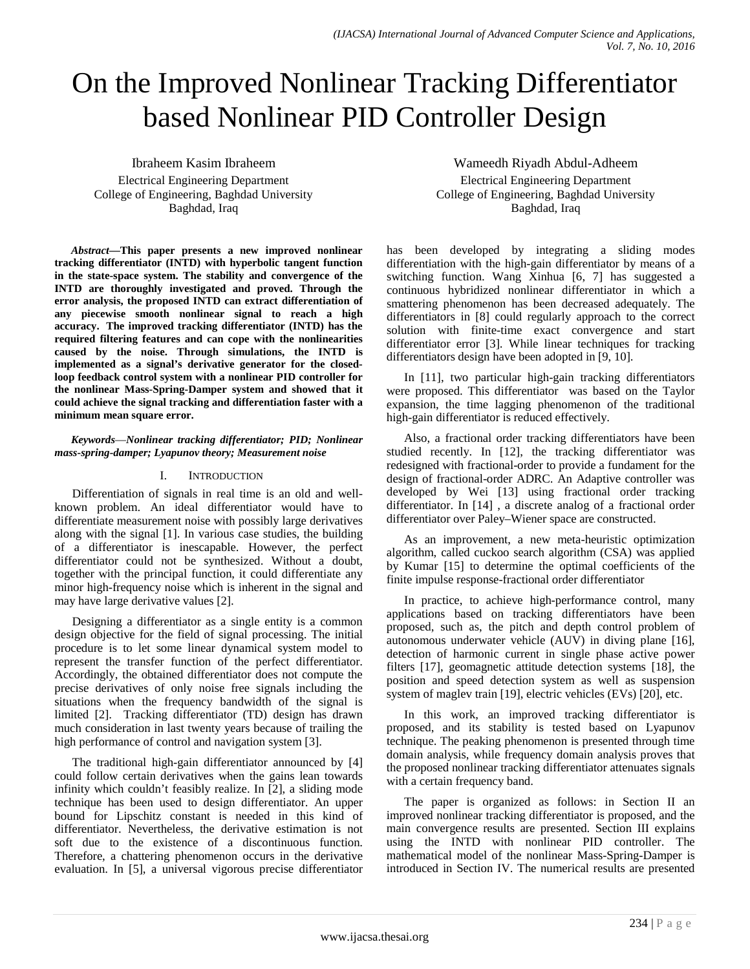# On the Improved Nonlinear Tracking Differentiator based Nonlinear PID Controller Design

Ibraheem Kasim Ibraheem Electrical Engineering Department College of Engineering, Baghdad University Baghdad, Iraq

*Abstract***—This paper presents a new improved nonlinear tracking differentiator (INTD) with hyperbolic tangent function in the state-space system. The stability and convergence of the INTD are thoroughly investigated and proved. Through the error analysis, the proposed INTD can extract differentiation of any piecewise smooth nonlinear signal to reach a high accuracy. The improved tracking differentiator (INTD) has the required filtering features and can cope with the nonlinearities caused by the noise. Through simulations, the INTD is implemented as a signal's derivative generator for the closedloop feedback control system with a nonlinear PID controller for the nonlinear Mass-Spring-Damper system and showed that it could achieve the signal tracking and differentiation faster with a minimum mean square error.**

*Keywords*—*Nonlinear tracking differentiator; PID; Nonlinear mass-spring-damper; Lyapunov theory; Measurement noise*

## I. INTRODUCTION

Differentiation of signals in real time is an old and wellknown problem. An ideal differentiator would have to differentiate measurement noise with possibly large derivatives along with the signal [1]. In various case studies, the building of a differentiator is inescapable. However, the perfect differentiator could not be synthesized. Without a doubt, together with the principal function, it could differentiate any minor high-frequency noise which is inherent in the signal and may have large derivative values [2].

Designing a differentiator as a single entity is a common design objective for the field of signal processing. The initial procedure is to let some linear dynamical system model to represent the transfer function of the perfect differentiator. Accordingly, the obtained differentiator does not compute the precise derivatives of only noise free signals including the situations when the frequency bandwidth of the signal is limited [2]. Tracking differentiator (TD) design has drawn much consideration in last twenty years because of trailing the high performance of control and navigation system [3].

The traditional high-gain differentiator announced by [4] could follow certain derivatives when the gains lean towards infinity which couldn't feasibly realize. In [2], a sliding mode technique has been used to design differentiator. An upper bound for Lipschitz constant is needed in this kind of differentiator. Nevertheless, the derivative estimation is not soft due to the existence of a discontinuous function. Therefore, a chattering phenomenon occurs in the derivative evaluation. In [5], a universal vigorous precise differentiator

Wameedh Riyadh Abdul-Adheem Electrical Engineering Department College of Engineering, Baghdad University Baghdad, Iraq

has been developed by integrating a sliding modes differentiation with the high-gain differentiator by means of a switching function. Wang Xinhua [6, 7] has suggested a continuous hybridized nonlinear differentiator in which a smattering phenomenon has been decreased adequately. The differentiators in [8] could regularly approach to the correct solution with finite-time exact convergence and start differentiator error [3]. While linear techniques for tracking differentiators design have been adopted in [9, 10].

In [11], two particular high-gain tracking differentiators were proposed. This differentiator was based on the Taylor expansion, the time lagging phenomenon of the traditional high-gain differentiator is reduced effectively.

Also, a fractional order tracking differentiators have been studied recently. In [12], the tracking differentiator was redesigned with fractional-order to provide a fundament for the design of fractional-order ADRC. An Adaptive controller was developed by Wei [13] using fractional order tracking differentiator. In [14] , a discrete analog of a fractional order differentiator over Paley–Wiener space are constructed.

As an improvement, a new meta-heuristic optimization algorithm, called cuckoo search algorithm (CSA) was applied by Kumar [15] to determine the optimal coefficients of the finite impulse response-fractional order differentiator

In practice, to achieve high-performance control, many applications based on tracking differentiators have been proposed, such as, the pitch and depth control problem of autonomous underwater vehicle (AUV) in diving plane [16], detection of harmonic current in single phase active power filters [17], geomagnetic attitude detection systems [18], the position and speed detection system as well as suspension system of maglev train [19], electric vehicles (EVs) [20], etc.

In this work, an improved tracking differentiator is proposed, and its stability is tested based on Lyapunov technique. The peaking phenomenon is presented through time domain analysis, while frequency domain analysis proves that the proposed nonlinear tracking differentiator attenuates signals with a certain frequency band.

The paper is organized as follows: in Section II an improved nonlinear tracking differentiator is proposed, and the main convergence results are presented. Section III explains using the INTD with nonlinear PID controller. The mathematical model of the nonlinear Mass-Spring-Damper is introduced in Section IV. The numerical results are presented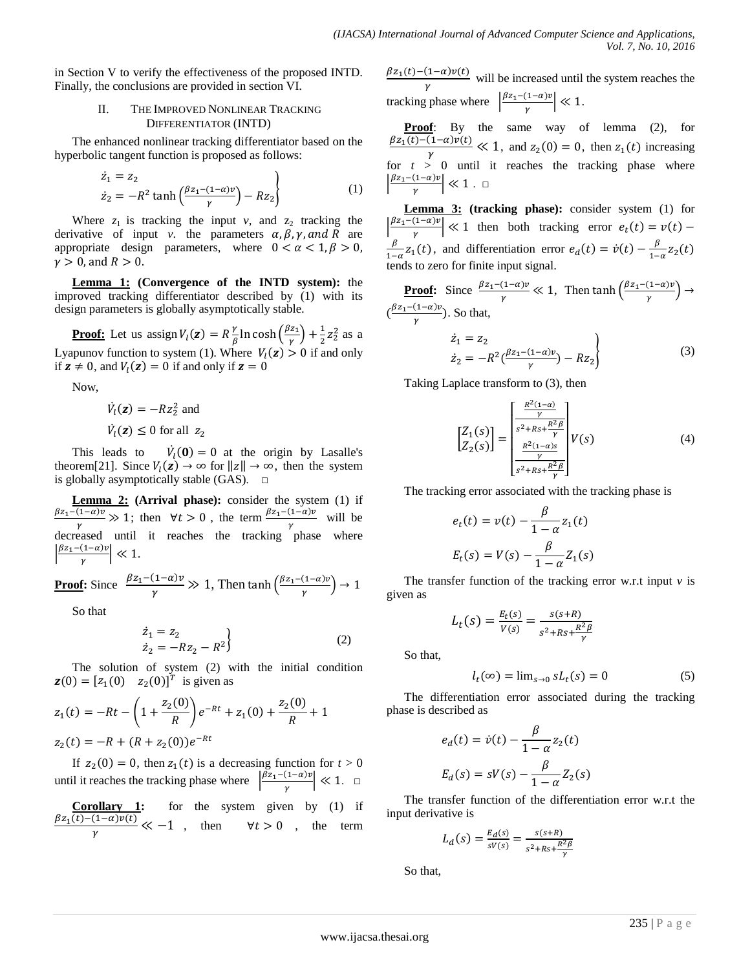in Section V to verify the effectiveness of the proposed INTD. Finally, the conclusions are provided in section VI.

#### II. THE IMPROVED NONLINEAR TRACKING DIFFERENTIATOR (INTD)

The enhanced nonlinear tracking differentiator based on the hyperbolic tangent function is proposed as follows:

$$
\dot{z}_1 = z_2
$$
  
\n
$$
\dot{z}_2 = -R^2 \tanh\left(\frac{\beta z_1 - (1 - \alpha)v}{\gamma}\right) - Rz_2
$$
\n(1)

Where  $z_1$  is tracking the input  $v$ , and  $z_2$  tracking the derivative of input *v*. the parameters  $\alpha$ ,  $\beta$ ,  $\gamma$ , and R are appropriate design parameters, where  $0 < \alpha < 1, \beta > 0$ ,  $\gamma > 0$ , and  $R > 0$ .

**Lemma 1: (Convergence of the INTD system):** the improved tracking differentiator described by (1) with its design parameters is globally asymptotically stable.

**Proof:** Let us assign  $V_l(z) = R \frac{\gamma}{\beta} \ln \cosh \left( \frac{\beta z_1}{\gamma} \right) + \frac{1}{2} z_2^2$  as a Lyapunov function to system (1). Where  $V_l(z) > 0$  if and only if  $z \neq 0$ , and  $V_l(z) = 0$  if and only if  $z = 0$ 

Now,

$$
\dot{V}_l(\mathbf{z}) = -Rz_2^2 \text{ and}
$$
\n
$$
\dot{V}_l(\mathbf{z}) \le 0 \text{ for all } z_2
$$

This leads to  $\dot{V}_1(\mathbf{0}) = 0$  at the origin by Lasalle's theorem[21]. Since  $V_l(z) \to \infty$  for  $||z|| \to \infty$ , then the system is globally asymptotically stable (GAS).  $\square$ 

**Lemma 2: (Arrival phase):** consider the system (1) if  $\beta z_1-(1-\alpha)v$  $\frac{(1-\alpha)\nu}{\gamma} \gg 1$ ; then  $\forall t > 0$ , the term  $\frac{\beta z_1 - (1-\alpha)\nu}{\gamma}$  will be decreased until it reaches the tracking phase where  $\left|\frac{\beta z_1-(1-\alpha)v}{\gamma}\right| \ll 1.$ 

**Proof:** Since 
$$
\frac{\beta z_1 - (1 - \alpha)v}{\gamma} \gg 1
$$
, Then  $\tanh\left(\frac{\beta z_1 - (1 - \alpha)v}{\gamma}\right) \to 1$ 

So that

$$
\begin{aligned}\n\dot{z}_1 &= z_2\\ \n\dot{z}_2 &= -Rz_2 - R^2\n\end{aligned}
$$
\n(2)

The solution of system (2) with the initial condition  $z(0) = [z_1(0) \quad z_2(0)]^T$  is given as

$$
z_1(t) = -Rt - \left(1 + \frac{z_2(0)}{R}\right)e^{-Rt} + z_1(0) + \frac{z_2(0)}{R} + 1
$$
  

$$
z_2(t) = -R + (R + z_2(0))e^{-Rt}
$$

If  $z_2(0) = 0$ , then  $z_1(t)$  is a decreasing function for  $t > 0$ until it reaches the tracking phase where  $\left|\frac{\beta z_1 - (1-\alpha)\nu}{\gamma}\right| \ll 1$ .  $\Box$ 

| Corollary 1:                                                                            | for the system given by (1) if |
|-----------------------------------------------------------------------------------------|--------------------------------|
| $\frac{\beta z_1(t)-(1-\alpha)\nu(t)}{\gamma} \ll -1$ , then $\forall t > 0$ , the term |                                |

 $\frac{\beta z_1(t) - (1 - \alpha)\nu(t)}{\gamma}$  will be increased until the system reaches the tracking phase where  $\left|\frac{\beta z_1 - (1-\alpha)v}{\gamma}\right| \ll 1$ .

**Proof**: By the same way of lemma (2), for  $\frac{\beta z_1(t)-(1-\alpha)v(t)}{\gamma} \ll 1$ , and  $z_2(0) = 0$ , then  $z_1(t)$  increasing for  $t > 0$  until it reaches the tracking phase where  $\frac{\beta z_1-(1-\alpha)\nu}{\gamma}$  ≪ 1. □

**Lemma 3: (tracking phase):** consider system (1) for  $\left|\frac{\beta z_1-(1-\alpha)v}{\gamma}\right| \ll 1$  then both tracking error  $e_t(t) = v(t)$  –  $\frac{\beta}{1-\alpha}z_1(t)$ , and differentiation error  $e_a(t) = \dot{v}(t) - \frac{\beta}{1-\alpha}z_2(t)$ tends to zero for finite input signal.

**Proof:** Since  $\frac{\beta z_1 - (1 - \alpha)v}{\gamma} \ll 1$ , Then  $\tanh\left(\frac{\beta z_1 - (1 - \alpha)v}{\gamma}\right) \rightarrow$  $\left(\frac{\beta z_1 - (1-\alpha)\nu}{\gamma}\right)$ . So that,

$$
\begin{aligned}\n z_1 &= z_2 \\
 \dot{z}_2 &= -R^2 \left( \frac{\beta z_1 - (1 - \alpha)v}{\gamma} \right) - R z_2\n \end{aligned}\n \tag{3}
$$

Taking Laplace transform to (3), then

$$
\begin{bmatrix} Z_1(s) \\ Z_2(s) \end{bmatrix} = \begin{bmatrix} \frac{R^2(1-\alpha)}{\gamma} \\ \frac{s^2 + Rs + \frac{R^2 \beta}{\gamma}}{1} \\ \frac{R^2(1-\alpha)s}{\gamma} \\ \frac{s^2 + Rs + \frac{R^2 \beta}{\gamma}}{1} \end{bmatrix} V(s) \tag{4}
$$

The tracking error associated with the tracking phase is

$$
e_t(t) = v(t) - \frac{\beta}{1 - \alpha} z_1(t)
$$

$$
E_t(s) = V(s) - \frac{\beta}{1 - \alpha} Z_1(s)
$$

The transfer function of the tracking error w.r.t input *v* is given as

$$
L_t(s) = \frac{E_t(s)}{V(s)} = \frac{s(s+R)}{s^2 + Rs + \frac{R^2 \beta}{\gamma}}
$$

So that,

$$
l_t(\infty) = \lim_{s \to 0} s L_t(s) = 0 \tag{5}
$$

The differentiation error associated during the tracking phase is described as

$$
e_d(t) = \dot{v}(t) - \frac{\beta}{1 - \alpha} z_2(t)
$$

$$
E_d(s) = sV(s) - \frac{\beta}{1 - \alpha} Z_2(s)
$$

The transfer function of the differentiation error w.r.t the input derivative is

$$
L_d(s) = \frac{E_d(s)}{sV(s)} = \frac{s(s+R)}{s^2 + Rs + \frac{R^2\beta}{\gamma}}
$$

So that,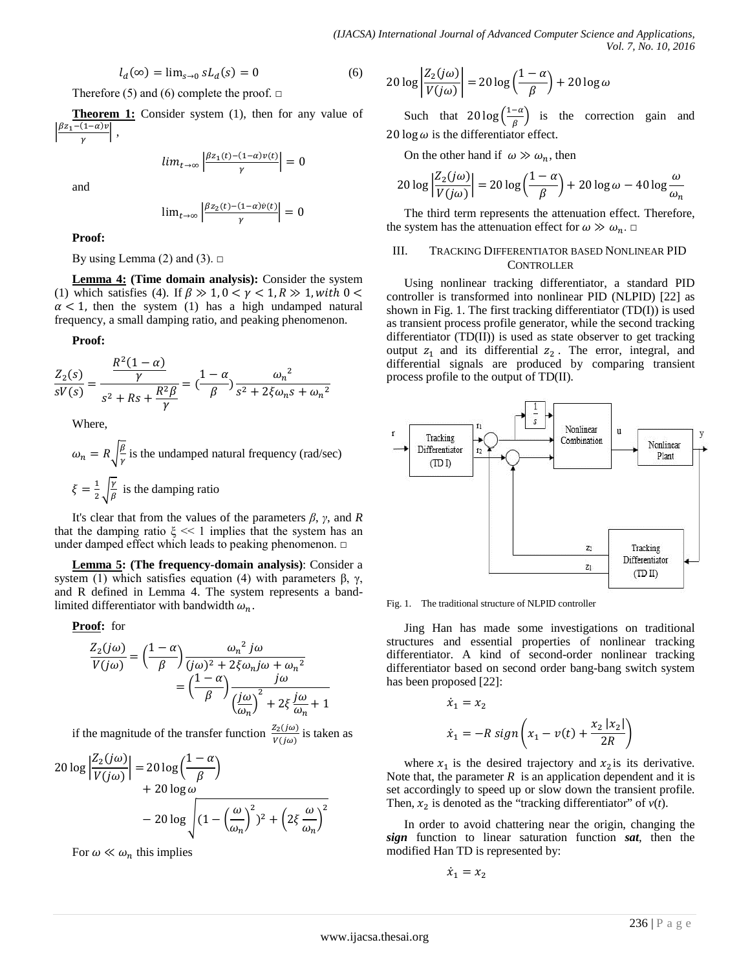$$
l_d(\infty) = \lim_{s \to 0} s L_d(s) = 0 \tag{6}
$$

Therefore (5) and (6) complete the proof.  $\Box$ 

**Theorem 1:** Consider system (1), then for any value of  $\Big\}$  $\beta z_1-(1-\alpha)v$  $\frac{\sqrt{1-u/\nu}}{\gamma}$  ,

$$
lim_{t\to\infty}\left|\frac{\beta z_1(t)-(1-\alpha)\nu(t)}{\gamma}\right|=0
$$

and

$$
\lim_{t \to \infty} \left| \frac{\beta z_2(t) - (1 - \alpha)\dot{v}(t)}{\gamma} \right| = 0
$$

**Proof:**

By using Lemma (2) and (3).  $\Box$ 

**Lemma 4: (Time domain analysis):** Consider the system (1) which satisfies (4). If  $\beta \gg 1$ ,  $0 < \gamma < 1$ ,  $R \gg 1$ , with  $0 < \gamma < 1$  $\alpha$  < 1, then the system (1) has a high undamped natural frequency, a small damping ratio, and peaking phenomenon.

**Proof:**

$$
\frac{Z_2(s)}{sV(s)} = \frac{\frac{R^2(1-\alpha)}{\gamma}}{s^2 + Rs + \frac{R^2\beta}{\gamma}} = \left(\frac{1-\alpha}{\beta}\right)\frac{\omega_n^2}{s^2 + 2\xi\omega_n s + \omega_n^2}
$$

Where,

$$
\omega_n = R \sqrt{\frac{\beta}{r}}
$$
 is the undamped natural frequency (rad/sec)  

$$
\xi = \frac{1}{2} \sqrt{\frac{r}{\beta}}
$$
 is the damping ratio

It's clear that from the values of the parameters *β*, *γ*, and *R* that the damping ratio  $\xi \ll 1$  implies that the system has an under damped effect which leads to peaking phenomenon. □

**Lemma 5: (The frequency-domain analysis)**: Consider a system (1) which satisfies equation (4) with parameters  $β$ ,  $γ$ , and R defined in Lemma 4. The system represents a bandlimited differentiator with bandwidth  $\omega_n$ .

#### **Proof:** for

$$
\frac{Z_2(j\omega)}{V(j\omega)} = \left(\frac{1-\alpha}{\beta}\right) \frac{\omega_n^2 j\omega}{(j\omega)^2 + 2\xi\omega_n j\omega + \omega_n^2}
$$

$$
= \left(\frac{1-\alpha}{\beta}\right) \frac{j\omega}{\left(\frac{j\omega}{\omega_n}\right)^2 + 2\xi \frac{j\omega}{\omega_n} + 1}
$$

if the magnitude of the transfer function  $\frac{Z_2(j\omega)}{V(j\omega)}$  is taken as

$$
20 \log \left| \frac{Z_2(j\omega)}{V(j\omega)} \right| = 20 \log \left( \frac{1-\alpha}{\beta} \right)
$$
  
+ 20 \log \omega  
- 20 \log \sqrt{(1 - \left( \frac{\omega}{\omega\_n} \right)^2)^2 + \left( 2\xi \frac{\omega}{\omega\_n} \right)^2}

For  $\omega \ll \omega_n$  this implies

$$
20 \log \left| \frac{Z_2(j\omega)}{V(j\omega)} \right| = 20 \log \left( \frac{1-\alpha}{\beta} \right) + 20 \log \omega
$$

Such that  $20 \log \left( \frac{1-\alpha}{\beta} \right)$  is the correction gain and 20 log  $\omega$  is the differentiator effect.

On the other hand if  $\omega \gg \omega_n$ , then

$$
20 \log \left| \frac{Z_2(j\omega)}{V(j\omega)} \right| = 20 \log \left( \frac{1-\alpha}{\beta} \right) + 20 \log \omega - 40 \log \frac{\omega}{\omega_n}
$$

The third term represents the attenuation effect. Therefore, the system has the attenuation effect for  $\omega \gg \omega_n$ .  $\Box$ 

#### III. TRACKING DIFFERENTIATOR BASED NONLINEAR PID **CONTROLLER**

Using nonlinear tracking differentiator, a standard PID controller is transformed into nonlinear PID (NLPID) [22] as shown in Fig. 1. The first tracking differentiator (TD(I)) is used as transient process profile generator, while the second tracking differentiator (TD(II)) is used as state observer to get tracking output  $z_1$  and its differential  $z_2$ . The error, integral, and differential signals are produced by comparing transient process profile to the output of TD(II).



Fig. 1. The traditional structure of NLPID controller

Jing Han has made some investigations on traditional structures and essential properties of nonlinear tracking differentiator. A kind of second-order nonlinear tracking differentiator based on second order bang-bang switch system has been proposed [22]:

$$
\dot{x}_1 = x_2
$$
  

$$
\dot{x}_1 = -R \text{ sign}\left(x_1 - v(t) + \frac{x_2 |x_2|}{2R}\right)
$$

where  $x_1$  is the desired trajectory and  $x_2$  is its derivative. Note that, the parameter  $R$  is an application dependent and it is set accordingly to speed up or slow down the transient profile. Then,  $x_2$  is denoted as the "tracking differentiator" of  $v(t)$ .

In order to avoid chattering near the origin, changing the *sign* function to linear saturation function *sat*, then the modified Han TD is represented by:

$$
\dot{x}_1 = x_2
$$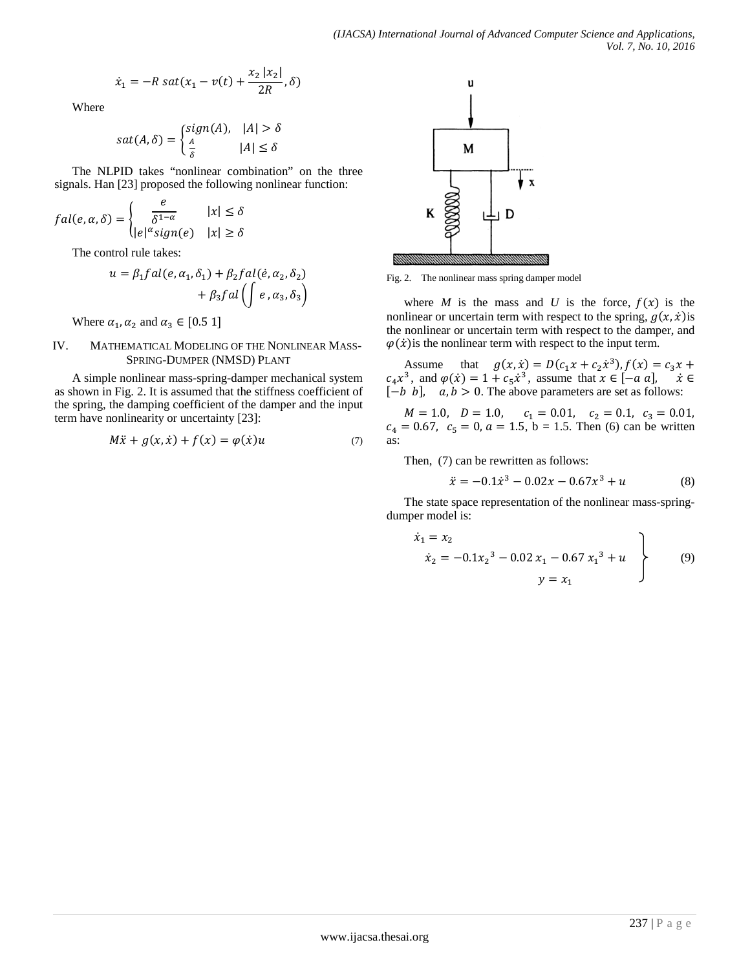$$
\dot{x}_1 = -R \, sat(x_1 - v(t) + \frac{x_2 |x_2|}{2R}, \delta)
$$

Where

$$
sat(A, \delta) = \begin{cases} sign(A), & |A| > \delta \\ \frac{A}{\delta} & |A| \le \delta \end{cases}
$$

The NLPID takes "nonlinear combination" on the three signals. Han [23] proposed the following nonlinear function:

$$
fal(e, \alpha, \delta) = \begin{cases} \frac{e}{\delta^{1-\alpha}} & |x| \le \delta \\ |e|^{\alpha} sign(e) & |x| \ge \delta \end{cases}
$$

The control rule takes:

$$
u = \beta_1 fal(e, \alpha_1, \delta_1) + \beta_2 fal(\dot{e}, \alpha_2, \delta_2)
$$

$$
+ \beta_3 fal\left(\int e, \alpha_3, \delta_3\right)
$$

Where  $\alpha_1, \alpha_2$  and  $\alpha_3 \in [0.5 1]$ 

#### IV. MATHEMATICAL MODELING OF THE NONLINEAR MASS-SPRING-DUMPER (NMSD) PLANT

A simple nonlinear mass-spring-damper mechanical system as shown in Fig. 2. It is assumed that the stiffness coefficient of the spring, the damping coefficient of the damper and the input term have nonlinearity or uncertainty [23]:

$$
M\ddot{x} + g(x, \dot{x}) + f(x) = \varphi(\dot{x})u \tag{7}
$$



Fig. 2. The nonlinear mass spring damper model

where *M* is the mass and *U* is the force,  $f(x)$  is the nonlinear or uncertain term with respect to the spring,  $g(x, \dot{x})$  is the nonlinear or uncertain term with respect to the damper, and  $\varphi(\dot{x})$  is the nonlinear term with respect to the input term.

Assume that  $g(x, \dot{x}) = D(c_1 x + c_2 \dot{x}^3)$ ,  $f(x) = c_3 x + c_4 x^3$  $c_4x^3$ , and  $\varphi(\dot{x}) = 1 + c_5\dot{x}^3$ , assume that  $x \in [-a, a], \quad \dot{x} \in$  $[-b, b], \quad a, b > 0.$  The above parameters are set as follows:

 $M = 1.0$ ,  $D = 1.0$ ,  $c_1 = 0.01$ ,  $c_2 = 0.1$ ,  $c_3 = 0.01$ ,  $c_4 = 0.67$ ,  $c_5 = 0$ ,  $a = 1.5$ ,  $b = 1.5$ . Then (6) can be written as:

Then, (7) can be rewritten as follows:

$$
\ddot{x} = -0.1\dot{x}^3 - 0.02x - 0.67x^3 + u \tag{8}
$$

The state space representation of the nonlinear mass-springdumper model is:

$$
\begin{aligned}\n\dot{x}_1 &= x_2 \\
\dot{x}_2 &= -0.1x_2^3 - 0.02 x_1 - 0.67 x_1^3 + u \\
y &= x_1\n\end{aligned}
$$
\n(9)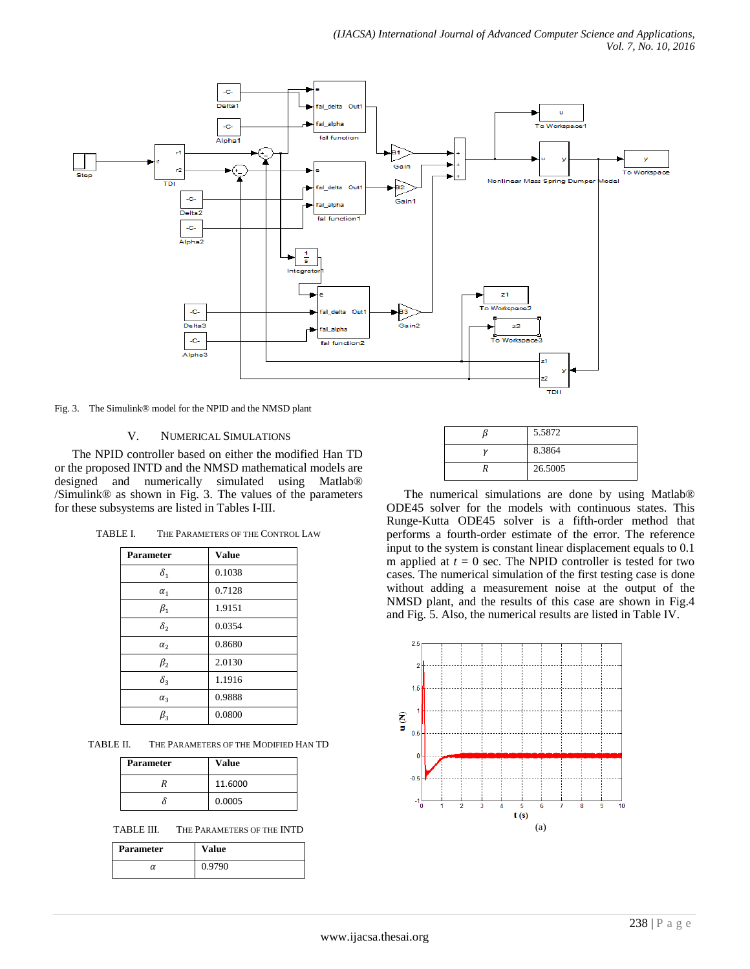

Fig. 3. The Simulink® model for the NPID and the NMSD plant

### V. NUMERICAL SIMULATIONS

The NPID controller based on either the modified Han TD or the proposed INTD and the NMSD mathematical models are designed and numerically simulated using Matlab® /Simulink® as shown in Fig. 3. The values of the parameters for these subsystems are listed in Tables I-III.

| <b>Parameter</b> | <b>Value</b> |
|------------------|--------------|
| $\delta_1$       | 0.1038       |
| $\alpha_1$       | 0.7128       |
| $\beta_1$        | 1.9151       |
| $\delta_{2}$     | 0.0354       |
| $\alpha_2$       | 0.8680       |
| $\beta_{2}$      | 2.0130       |
| $\delta_3$       | 1.1916       |
| $\alpha_3$       | 0.9888       |
| $\beta_{3}$      | 0.0800       |

TABLE II. THE PARAMETERS OF THE MODIFIED HAN TD

| <b>Parameter</b> | <b>Value</b> |
|------------------|--------------|
|                  | 11.6000      |
|                  | 0.0005       |

TABLE III. THE PARAMETERS OF THE INTD

| <b>Parameter</b> | Value  |
|------------------|--------|
| α                | 0.9790 |

| 5.5872  |
|---------|
| 8.3864  |
| 26.5005 |

The numerical simulations are done by using Matlab® ODE45 solver for the models with continuous states. This Runge-Kutta ODE45 solver is a fifth-order method that performs a fourth-order estimate of the error. The reference input to the system is constant linear displacement equals to 0.1 m applied at  $t = 0$  sec. The NPID controller is tested for two cases. The numerical simulation of the first testing case is done without adding a measurement noise at the output of the NMSD plant, and the results of this case are shown in Fig.4 and Fig. 5. Also, the numerical results are listed in Table IV.

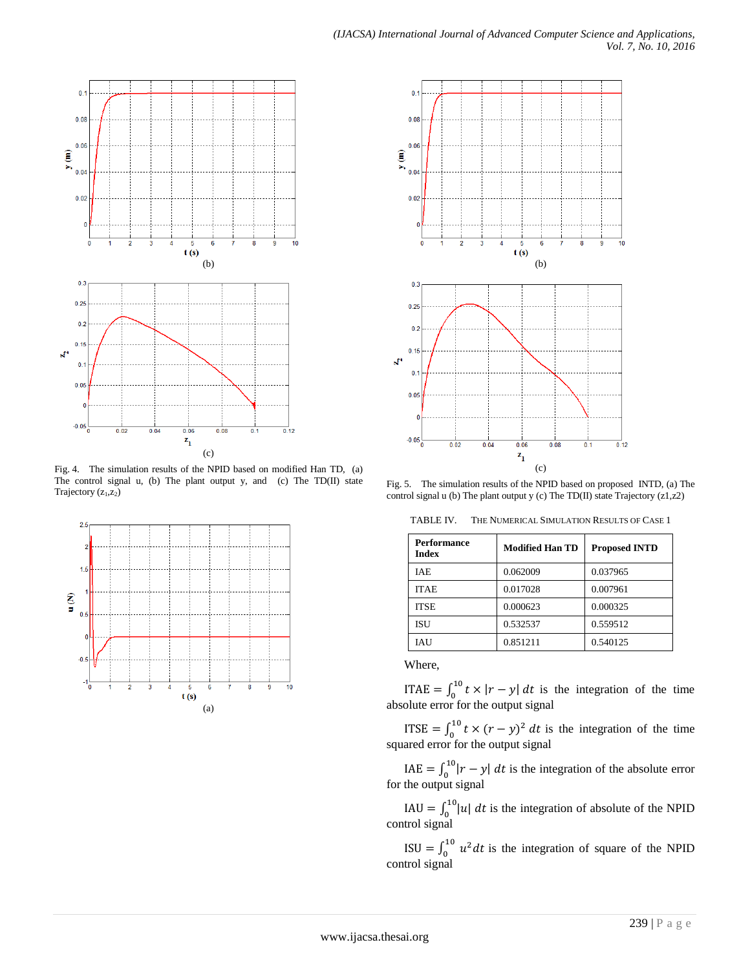

Fig. 4. The simulation results of the NPID based on modified Han TD, (a) The control signal u, (b) The plant output y, and (c) The TD(II) state Trajectory (z<sub>1</sub>,z<sub>2</sub>)





Fig. 5. The simulation results of the NPID based on proposed INTD, (a) The control signal u (b) The plant output y (c) The TD(II) state Trajectory (z1,z2)

TABLE IV. THE NUMERICAL SIMULATION RESULTS OF CASE 1

| <b>Performance</b><br><b>Index</b> | <b>Modified Han TD</b> | <b>Proposed INTD</b> |
|------------------------------------|------------------------|----------------------|
| <b>IAE</b>                         | 0.062009               | 0.037965             |
| <b>ITAE</b>                        | 0.017028               | 0.007961             |
| <b>ITSE</b>                        | 0.000623               | 0.000325             |
| <b>ISU</b>                         | 0.532537               | 0.559512             |
| <b>IAU</b>                         | 0.851211               | 0.540125             |

Where,

ITAE =  $\int_0^{10} t \times |r - y| dt$  is the integration of the time absolute error for the output signal

ITSE =  $\int_0^{10} t \times (r - y)^2 dt$  is the integration of the time squared error for the output signal

IAE =  $\int_0^{10} |r - y| dt$  is the integration of the absolute error for the output signal

IAU =  $\int_0^{10} |u| dt$  is the integration of absolute of the NPID control signal

ISU =  $\int_0^{10} u^2 dt$  is the integration of square of the NPID control signal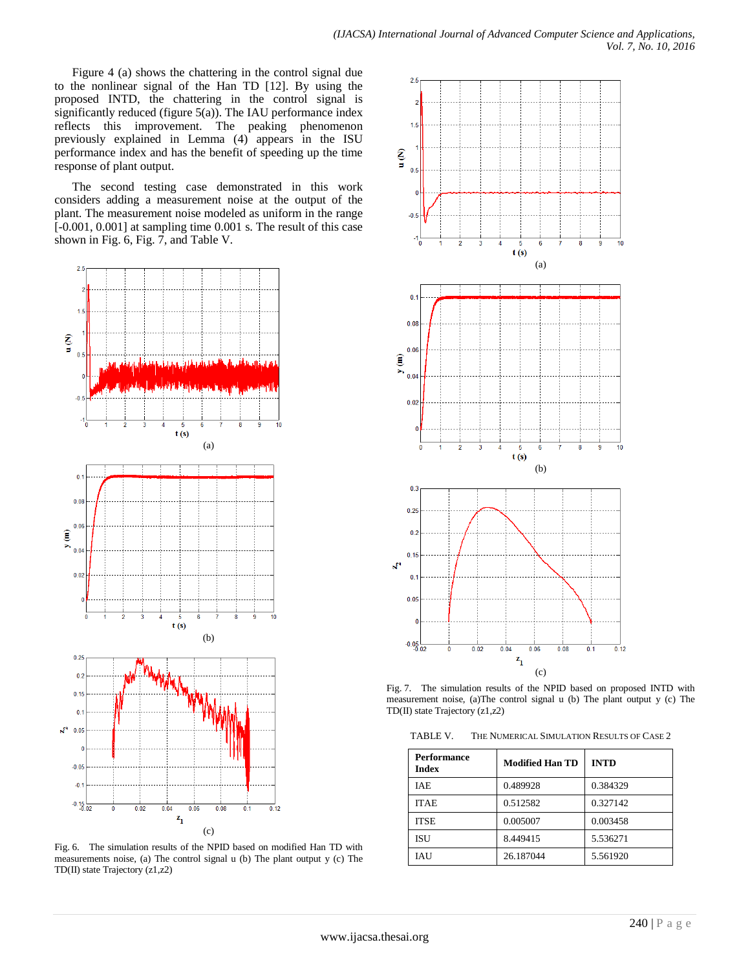Figure 4 (a) shows the chattering in the control signal due to the nonlinear signal of the Han TD [12]. By using the proposed INTD, the chattering in the control signal is significantly reduced (figure  $5(a)$ ). The IAU performance index reflects this improvement. The peaking phenomenon previously explained in Lemma (4) appears in the ISU performance index and has the benefit of speeding up the time response of plant output.

The second testing case demonstrated in this work considers adding a measurement noise at the output of the plant. The measurement noise modeled as uniform in the range [-0.001, 0.001] at sampling time 0.001 s. The result of this case shown in Fig. 6, Fig. 7, and Table V.



Fig. 6. The simulation results of the NPID based on modified Han TD with measurements noise, (a) The control signal u (b) The plant output y (c) The TD(II) state Trajectory (z1,z2)



Fig. 7. The simulation results of the NPID based on proposed INTD with measurement noise, (a)The control signal u (b) The plant output y (c) The TD(II) state Trajectory (z1,z2)

TABLE V. THE NUMERICAL SIMULATION RESULTS OF CASE 2

| <b>Performance</b><br><b>Index</b> | <b>Modified Han TD</b> | <b>INTD</b> |
|------------------------------------|------------------------|-------------|
| <b>IAE</b>                         | 0.489928               | 0.384329    |
| <b>ITAE</b>                        | 0.512582               | 0.327142    |
| <b>ITSE</b>                        | 0.005007               | 0.003458    |
| <b>ISU</b>                         | 8.449415               | 5.536271    |
| <b>IAU</b>                         | 26.187044              | 5.561920    |